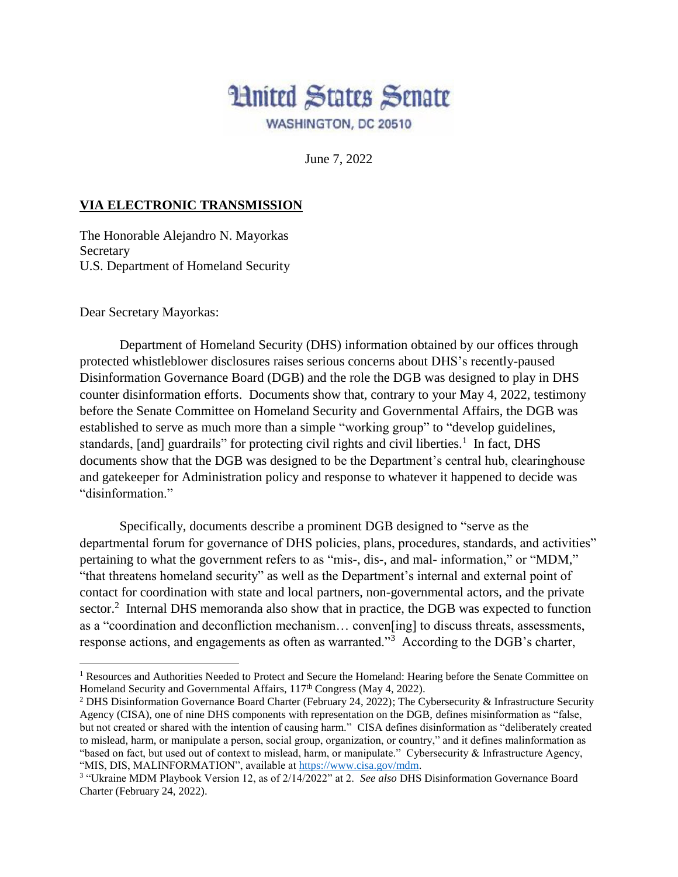

June 7, 2022

## **VIA ELECTRONIC TRANSMISSION**

The Honorable Alejandro N. Mayorkas **Secretary** U.S. Department of Homeland Security

Dear Secretary Mayorkas:

 $\overline{\phantom{a}}$ 

Department of Homeland Security (DHS) information obtained by our offices through protected whistleblower disclosures raises serious concerns about DHS's recently-paused Disinformation Governance Board (DGB) and the role the DGB was designed to play in DHS counter disinformation efforts. Documents show that, contrary to your May 4, 2022, testimony before the Senate Committee on Homeland Security and Governmental Affairs, the DGB was established to serve as much more than a simple "working group" to "develop guidelines, standards, [and] guardrails" for protecting civil rights and civil liberties.<sup>1</sup> In fact, DHS documents show that the DGB was designed to be the Department's central hub, clearinghouse and gatekeeper for Administration policy and response to whatever it happened to decide was "disinformation."

Specifically, documents describe a prominent DGB designed to "serve as the departmental forum for governance of DHS policies, plans, procedures, standards, and activities" pertaining to what the government refers to as "mis-, dis-, and mal- information," or "MDM," "that threatens homeland security" as well as the Department's internal and external point of contact for coordination with state and local partners, non-governmental actors, and the private sector.<sup>2</sup> Internal DHS memoranda also show that in practice, the DGB was expected to function as a "coordination and deconfliction mechanism… conven[ing] to discuss threats, assessments, response actions, and engagements as often as warranted."<sup>3</sup> According to the DGB's charter,

<sup>&</sup>lt;sup>1</sup> Resources and Authorities Needed to Protect and Secure the Homeland: Hearing before the Senate Committee on Homeland Security and Governmental Affairs, 117<sup>th</sup> Congress (May 4, 2022).

<sup>2</sup> DHS Disinformation Governance Board Charter (February 24, 2022); The Cybersecurity & Infrastructure Security Agency (CISA), one of nine DHS components with representation on the DGB, defines misinformation as "false, but not created or shared with the intention of causing harm." CISA defines disinformation as "deliberately created to mislead, harm, or manipulate a person, social group, organization, or country," and it defines malinformation as "based on fact, but used out of context to mislead, harm, or manipulate." Cybersecurity & Infrastructure Agency, "MIS, DIS, MALINFORMATION", available at https://www.cisa.gov/mdm.

<sup>3</sup> "Ukraine MDM Playbook Version 12, as of 2/14/2022" at 2. *See also* DHS Disinformation Governance Board Charter (February 24, 2022).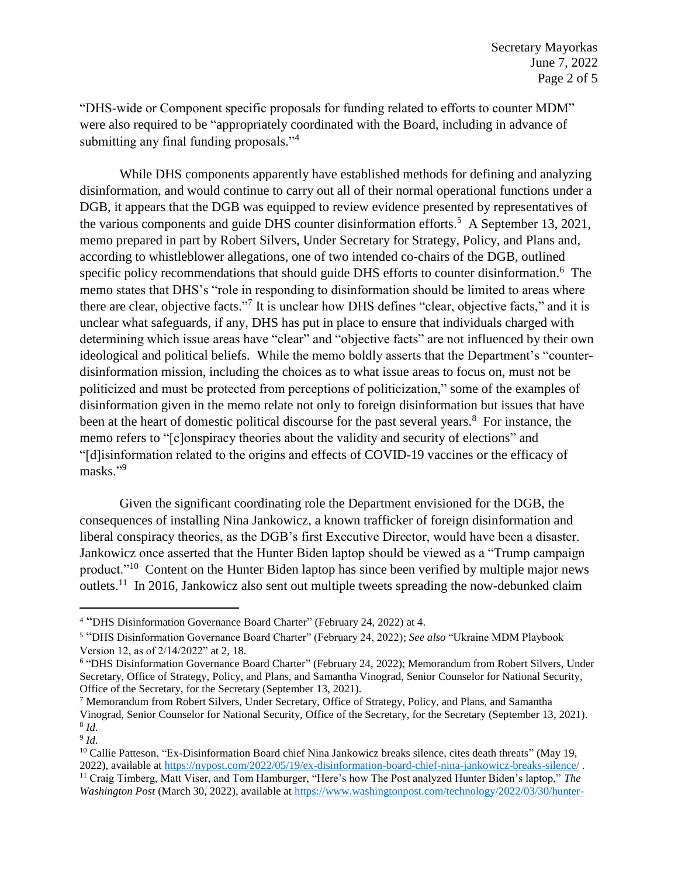"DHS-wide or Component specific proposals for funding related to efforts to counter MDM" were also required to be "appropriately coordinated with the Board, including in advance of submitting any final funding proposals."<sup>4</sup>

While DHS components apparently have established methods for defining and analyzing disinformation, and would continue to carry out all of their normal operational functions under a DGB, it appears that the DGB was equipped to review evidence presented by representatives of the various components and guide DHS counter disinformation efforts.<sup>5</sup> A September 13, 2021, memo prepared in part by Robert Silvers, Under Secretary for Strategy, Policy, and Plans and, according to whistleblower allegations, one of two intended co-chairs of the DGB, outlined specific policy recommendations that should guide DHS efforts to counter disinformation.<sup>6</sup> The memo states that DHS's "role in responding to disinformation should be limited to areas where there are clear, objective facts."<sup>7</sup> It is unclear how DHS defines "clear, objective facts," and it is unclear what safeguards, if any, DHS has put in place to ensure that individuals charged with determining which issue areas have "clear" and "objective facts" are not influenced by their own ideological and political beliefs. While the memo boldly asserts that the Department's "counterdisinformation mission, including the choices as to what issue areas to focus on, must not be politicized and must be protected from perceptions of politicization," some of the examples of disinformation given in the memo relate not only to foreign disinformation but issues that have been at the heart of domestic political discourse for the past several years.<sup>8</sup> For instance, the memo refers to "[c]onspiracy theories about the validity and security of elections" and "[d]isinformation related to the origins and effects of COVID-19 vaccines or the efficacy of masks."<sup>9</sup>

Given the significant coordinating role the Department envisioned for the DGB, the consequences of installing Nina Jankowicz, a known trafficker of foreign disinformation and liberal conspiracy theories, as the DGB's first Executive Director, would have been a disaster. Jankowicz once asserted that the Hunter Biden laptop should be viewed as a "Trump campaign product."<sup>10</sup> Content on the Hunter Biden laptop has since been verified by multiple major news outlets.<sup>11</sup> In 2016, Jankowicz also sent out multiple tweets spreading the now-debunked claim

 $\overline{\phantom{a}}$ 

<sup>4</sup> "DHS Disinformation Governance Board Charter" (February 24, 2022) at 4.

<sup>5</sup> "DHS Disinformation Governance Board Charter" (February 24, 2022); *See also* "Ukraine MDM Playbook Version 12, as of 2/14/2022" at 2, 18.

<sup>6</sup> "DHS Disinformation Governance Board Charter" (February 24, 2022); Memorandum from Robert Silvers, Under Secretary, Office of Strategy, Policy, and Plans, and Samantha Vinograd, Senior Counselor for National Security, Office of the Secretary, for the Secretary (September 13, 2021).

<sup>7</sup> Memorandum from Robert Silvers, Under Secretary, Office of Strategy, Policy, and Plans, and Samantha Vinograd, Senior Counselor for National Security, Office of the Secretary, for the Secretary (September 13, 2021). 8 *Id.*

<sup>9</sup> *Id.*

<sup>&</sup>lt;sup>10</sup> Callie Patteson, "Ex-Disinformation Board chief Nina Jankowicz breaks silence, cites death threats" (May 19, 2022), available at https://nypost.com/2022/05/19/ex-disinformation-board-chief-nina-jankowicz-breaks-silence/ . <sup>11</sup> Craig Timberg, Matt Viser, and Tom Hamburger, "Here's how The Post analyzed Hunter Biden's laptop," *The* 

*Washington Post* (March 30, 2022), available at https://www.washingtonpost.com/technology/2022/03/30/hunter-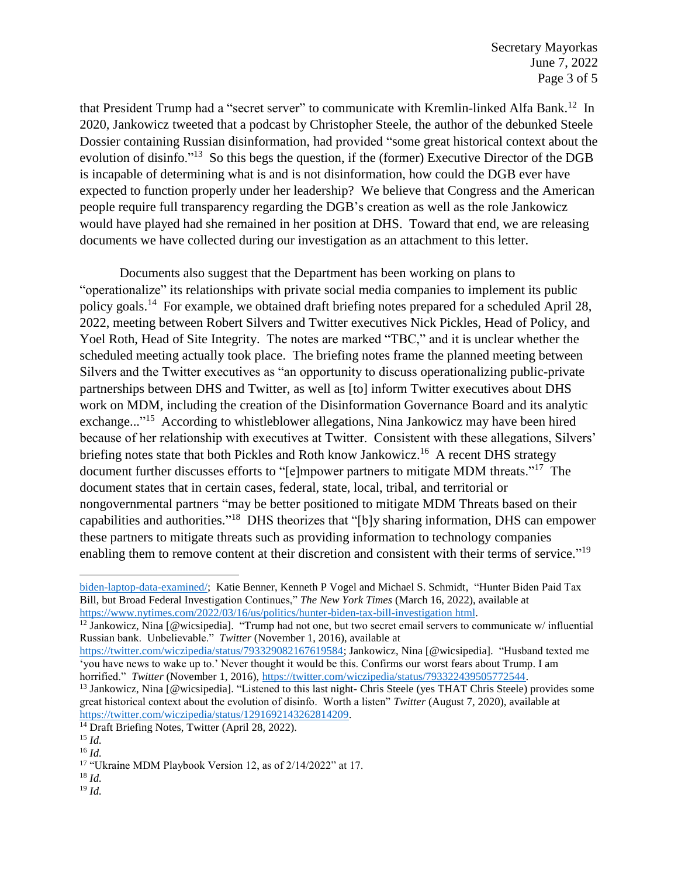that President Trump had a "secret server" to communicate with Kremlin-linked Alfa Bank.<sup>12</sup> In 2020, Jankowicz tweeted that a podcast by Christopher Steele, the author of the debunked Steele Dossier containing Russian disinformation, had provided "some great historical context about the evolution of disinfo."<sup>13</sup> So this begs the question, if the (former) Executive Director of the DGB is incapable of determining what is and is not disinformation, how could the DGB ever have expected to function properly under her leadership? We believe that Congress and the American people require full transparency regarding the DGB's creation as well as the role Jankowicz would have played had she remained in her position at DHS. Toward that end, we are releasing documents we have collected during our investigation as an attachment to this letter.

Documents also suggest that the Department has been working on plans to "operationalize" its relationships with private social media companies to implement its public policy goals.<sup>14</sup> For example, we obtained draft briefing notes prepared for a scheduled April 28, 2022, meeting between Robert Silvers and Twitter executives Nick Pickles, Head of Policy, and Yoel Roth, Head of Site Integrity. The notes are marked "TBC," and it is unclear whether the scheduled meeting actually took place. The briefing notes frame the planned meeting between Silvers and the Twitter executives as "an opportunity to discuss operationalizing public-private partnerships between DHS and Twitter, as well as [to] inform Twitter executives about DHS work on MDM, including the creation of the Disinformation Governance Board and its analytic exchange..."<sup>15</sup> According to whistleblower allegations, Nina Jankowicz may have been hired because of her relationship with executives at Twitter. Consistent with these allegations, Silvers' briefing notes state that both Pickles and Roth know Jankowicz.<sup>16</sup> A recent DHS strategy document further discusses efforts to "[e]mpower partners to mitigate MDM threats."<sup>17</sup> The document states that in certain cases, federal, state, local, tribal, and territorial or nongovernmental partners "may be better positioned to mitigate MDM Threats based on their capabilities and authorities."<sup>18</sup> DHS theorizes that "[b]y sharing information, DHS can empower these partners to mitigate threats such as providing information to technology companies enabling them to remove content at their discretion and consistent with their terms of service."<sup>19</sup>

l

<sup>18</sup> *Id.*

biden-laptop-data-examined/; Katie Benner, Kenneth P Vogel and Michael S. Schmidt, "Hunter Biden Paid Tax Bill, but Broad Federal Investigation Continues," *The New York Times* (March 16, 2022), available at https://www.nytimes.com/2022/03/16/us/politics/hunter-biden-tax-bill-investigation html.

<sup>&</sup>lt;sup>12</sup> Jankowicz, Nina [@wicsipedia]. "Trump had not one, but two secret email servers to communicate w/ influential Russian bank. Unbelievable." *Twitter* (November 1, 2016), available at

https://twitter.com/wiczipedia/status/793329082167619584; Jankowicz, Nina [@wicsipedia]. "Husband texted me 'you have news to wake up to.' Never thought it would be this. Confirms our worst fears about Trump. I am horrified." *Twitter* (November 1, 2016), https://twitter.com/wiczipedia/status/793322439505772544.

<sup>&</sup>lt;sup>13</sup> Jankowicz, Nina [@wicsipedia]. "Listened to this last night- Chris Steele (yes THAT Chris Steele) provides some great historical context about the evolution of disinfo. Worth a listen" *Twitter* (August 7, 2020), available at https://twitter.com/wiczipedia/status/1291692143262814209.

<sup>&</sup>lt;sup>14</sup> Draft Briefing Notes, Twitter (April 28, 2022).

<sup>15</sup> *Id.*

<sup>16</sup> *Id.*

<sup>&</sup>lt;sup>17</sup> "Ukraine MDM Playbook Version 12, as of 2/14/2022" at 17.

<sup>19</sup> *Id.*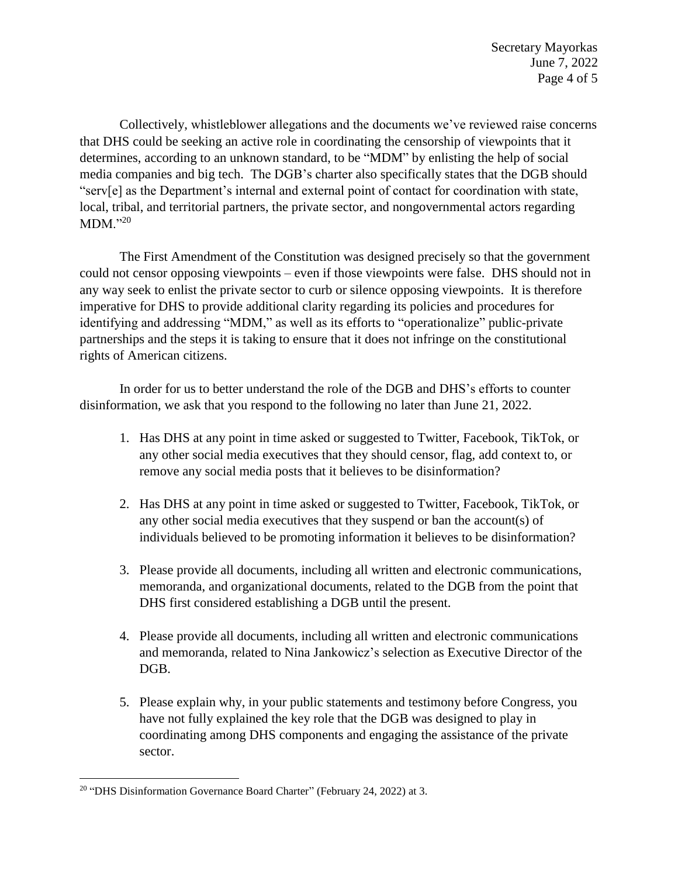Secretary Mayorkas June 7, 2022 Page 4 of 5

Collectively, whistleblower allegations and the documents we've reviewed raise concerns that DHS could be seeking an active role in coordinating the censorship of viewpoints that it determines, according to an unknown standard, to be "MDM" by enlisting the help of social media companies and big tech. The DGB's charter also specifically states that the DGB should "serv[e] as the Department's internal and external point of contact for coordination with state, local, tribal, and territorial partners, the private sector, and nongovernmental actors regarding  $MDM."^{20}$ 

The First Amendment of the Constitution was designed precisely so that the government could not censor opposing viewpoints – even if those viewpoints were false. DHS should not in any way seek to enlist the private sector to curb or silence opposing viewpoints. It is therefore imperative for DHS to provide additional clarity regarding its policies and procedures for identifying and addressing "MDM," as well as its efforts to "operationalize" public-private partnerships and the steps it is taking to ensure that it does not infringe on the constitutional rights of American citizens.

In order for us to better understand the role of the DGB and DHS's efforts to counter disinformation, we ask that you respond to the following no later than June 21, 2022.

- 1. Has DHS at any point in time asked or suggested to Twitter, Facebook, TikTok, or any other social media executives that they should censor, flag, add context to, or remove any social media posts that it believes to be disinformation?
- 2. Has DHS at any point in time asked or suggested to Twitter, Facebook, TikTok, or any other social media executives that they suspend or ban the account(s) of individuals believed to be promoting information it believes to be disinformation?
- 3. Please provide all documents, including all written and electronic communications, memoranda, and organizational documents, related to the DGB from the point that DHS first considered establishing a DGB until the present.
- 4. Please provide all documents, including all written and electronic communications and memoranda, related to Nina Jankowicz's selection as Executive Director of the DGB.
- 5. Please explain why, in your public statements and testimony before Congress, you have not fully explained the key role that the DGB was designed to play in coordinating among DHS components and engaging the assistance of the private sector.

 $\overline{\phantom{a}}$ <sup>20</sup> "DHS Disinformation Governance Board Charter" (February 24, 2022) at 3.